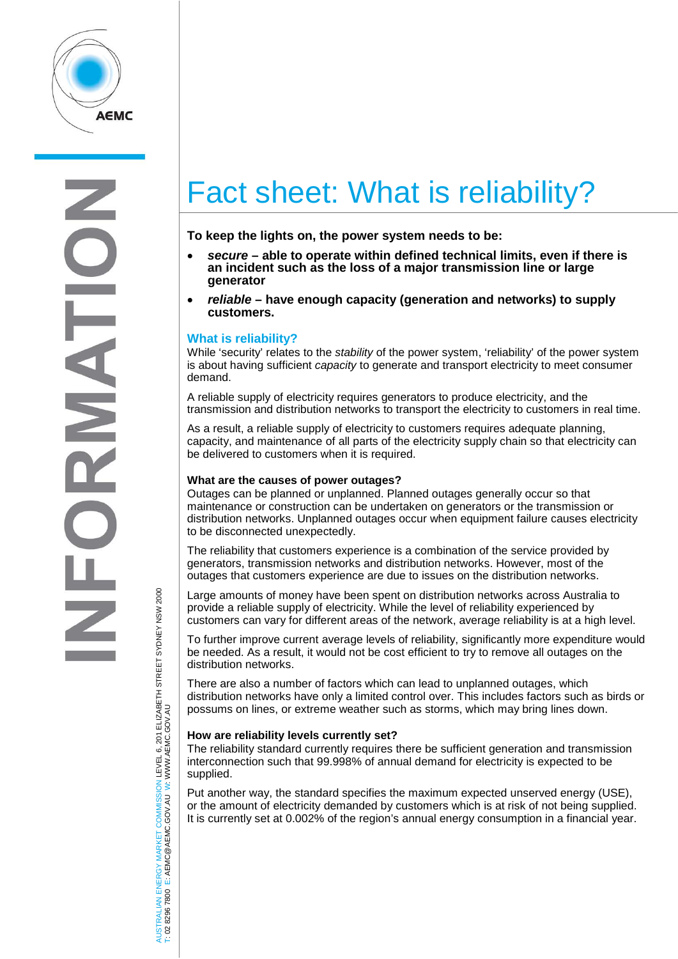

# Fact sheet: What is reliability?

**To keep the lights on, the power system needs to be:**

- *secure* **– able to operate within defined technical limits, even if there is an incident such as the loss of a major transmission line or large generator**
- *reliable* **– have enough capacity (generation and networks) to supply customers.**

## **What is reliability?**

While 'security' relates to the *stability* of the power system, 'reliability' of the power system is about having sufficient *capacity* to generate and transport electricity to meet consumer demand.

A reliable supply of electricity requires generators to produce electricity, and the transmission and distribution networks to transport the electricity to customers in real time.

As a result, a reliable supply of electricity to customers requires adequate planning, capacity, and maintenance of all parts of the electricity supply chain so that electricity can be delivered to customers when it is required.

#### **What are the causes of power outages?**

Outages can be planned or unplanned. Planned outages generally occur so that maintenance or construction can be undertaken on generators or the transmission or distribution networks. Unplanned outages occur when equipment failure causes electricity to be disconnected unexpectedly.

The reliability that customers experience is a combination of the service provided by generators, transmission networks and distribution networks. However, most of the outages that customers experience are due to issues on the distribution networks.

Large amounts of money have been spent on distribution networks across Australia to provide a reliable supply of electricity. While the level of reliability experienced by customers can vary for different areas of the network, average reliability is at a high level.

To further improve current average levels of reliability, significantly more expenditure would be needed. As a result, it would not be cost efficient to try to remove all outages on the distribution networks.

There are also a number of factors which can lead to unplanned outages, which distribution networks have only a limited control over. This includes factors such as birds or possums on lines, or extreme weather such as storms, which may bring lines down.

#### **How are reliability levels currently set?**

The reliability standard currently requires there be sufficient generation and transmission interconnection such that 99.998% of annual demand for electricity is expected to be supplied.

Put another way, the standard specifies the maximum expected unserved energy (USE), or the amount of electricity demanded by customers which is at risk of not being supplied. It is currently set at 0.002% of the region's annual energy consumption in a financial year.

TRALIAN ENERGY MARKET COMMISSION LEVEL 6, 201 ELIZABETH STREET SYDNEY NSW 2000<br>8296 7800 E: AEMC@AEMC.GOV.AU W: WWW.AEMC.GOV.AU AUSTRALIAN ENERGY MARKET COMMISSION LEVEL 6, 201 ELIZABETH STREET SYDNEY NSW 2000 W: WWW.AEMC.GOV.AU T: 02 8296 7800 E: AEMC@AEMC.GOV.AU **ISL** i si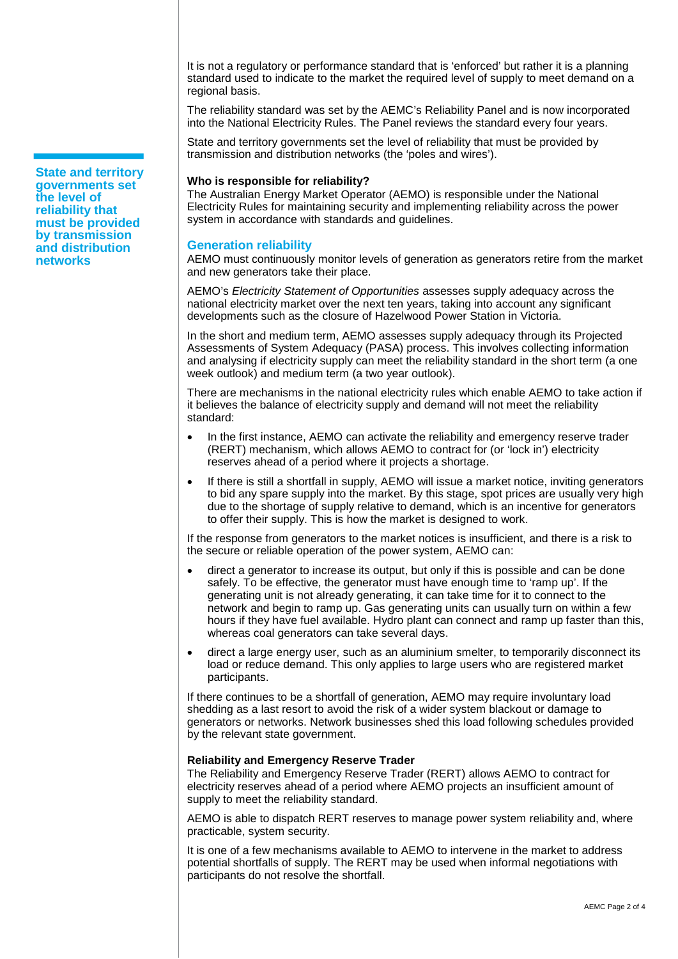It is not a regulatory or performance standard that is 'enforced' but rather it is a planning standard used to indicate to the market the required level of supply to meet demand on a regional basis.

The reliability standard was set by the AEMC's Reliability Panel and is now incorporated into the National Electricity Rules. The Panel reviews the standard every four years.

State and territory governments set the level of reliability that must be provided by transmission and distribution networks (the 'poles and wires').

#### **Who is responsible for reliability?**

The Australian Energy Market Operator (AEMO) is responsible under the National Electricity Rules for maintaining security and implementing reliability across the power system in accordance with standards and guidelines.

### **Generation reliability**

AEMO must continuously monitor levels of generation as generators retire from the market and new generators take their place.

AEMO's *Electricity Statement of Opportunities* assesses supply adequacy across the national electricity market over the next ten years, taking into account any significant developments such as the closure of Hazelwood Power Station in Victoria.

In the short and medium term, AEMO assesses supply adequacy through its Projected Assessments of System Adequacy (PASA) process. This involves collecting information and analysing if electricity supply can meet the reliability standard in the short term (a one week outlook) and medium term (a two year outlook).

There are mechanisms in the national electricity rules which enable AEMO to take action if it believes the balance of electricity supply and demand will not meet the reliability standard:

- In the first instance, AEMO can activate the reliability and emergency reserve trader (RERT) mechanism, which allows AEMO to contract for (or 'lock in') electricity reserves ahead of a period where it projects a shortage.
- If there is still a shortfall in supply, AEMO will issue a market notice, inviting generators to bid any spare supply into the market. By this stage, spot prices are usually very high due to the shortage of supply relative to demand, which is an incentive for generators to offer their supply. This is how the market is designed to work.

If the response from generators to the market notices is insufficient, and there is a risk to the secure or reliable operation of the power system, AEMO can:

- direct a generator to increase its output, but only if this is possible and can be done safely. To be effective, the generator must have enough time to 'ramp up'. If the generating unit is not already generating, it can take time for it to connect to the network and begin to ramp up. Gas generating units can usually turn on within a few hours if they have fuel available. Hydro plant can connect and ramp up faster than this, whereas coal generators can take several days.
- direct a large energy user, such as an aluminium smelter, to temporarily disconnect its load or reduce demand. This only applies to large users who are registered market participants.

If there continues to be a shortfall of generation, AEMO may require involuntary load shedding as a last resort to avoid the risk of a wider system blackout or damage to generators or networks. Network businesses shed this load following schedules provided by the relevant state government.

#### **Reliability and Emergency Reserve Trader**

The Reliability and Emergency Reserve Trader (RERT) allows AEMO to contract for electricity reserves ahead of a period where AEMO projects an insufficient amount of supply to meet the reliability standard.

AEMO is able to dispatch RERT reserves to manage power system reliability and, where practicable, system security.

It is one of a few mechanisms available to AEMO to intervene in the market to address potential shortfalls of supply. The RERT may be used when informal negotiations with participants do not resolve the shortfall.

**State and territory governments set the level of reliability that must be provided by transmission and distribution networks**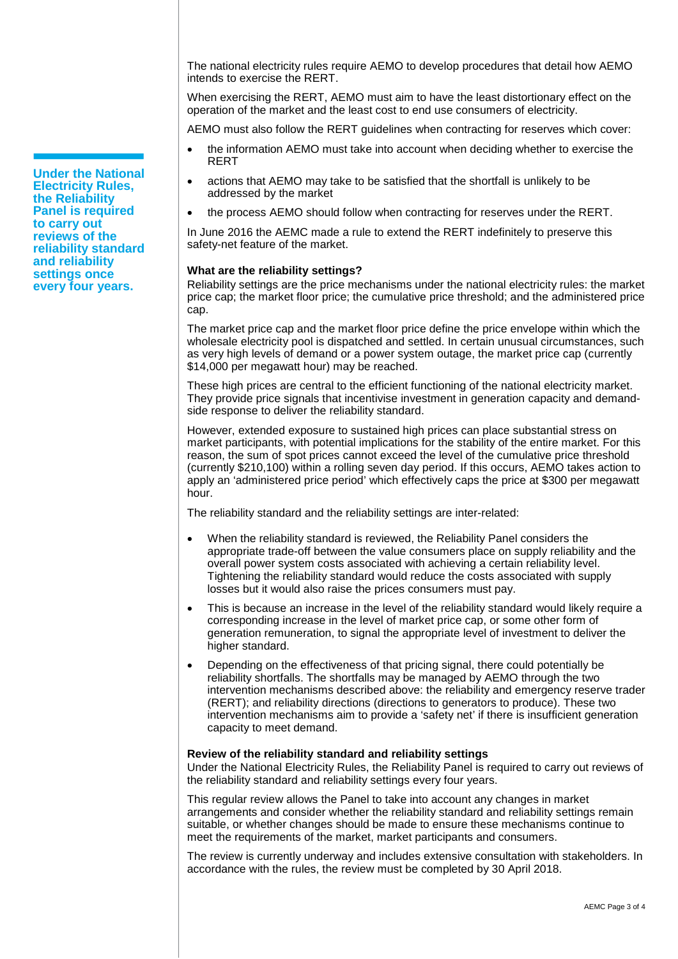The national electricity rules require AEMO to develop procedures that detail how AEMO intends to exercise the RERT.

When exercising the RERT, AEMO must aim to have the least distortionary effect on the operation of the market and the least cost to end use consumers of electricity.

AEMO must also follow the RERT guidelines when contracting for reserves which cover:

- the information AEMO must take into account when deciding whether to exercise the RERT
- actions that AEMO may take to be satisfied that the shortfall is unlikely to be addressed by the market
- the process AEMO should follow when contracting for reserves under the RERT.

In June 2016 the AEMC made a rule to extend the RERT indefinitely to preserve this safety-net feature of the market.

#### **What are the reliability settings?**

Reliability settings are the price mechanisms under the national electricity rules: the market price cap; the market floor price; the cumulative price threshold; and the administered price cap.

The market price cap and the market floor price define the price envelope within which the wholesale electricity pool is dispatched and settled. In certain unusual circumstances, such as very high levels of demand or a power system outage, the market price cap (currently \$14,000 per megawatt hour) may be reached.

These high prices are central to the efficient functioning of the national electricity market. They provide price signals that incentivise investment in generation capacity and demandside response to deliver the reliability standard.

However, extended exposure to sustained high prices can place substantial stress on market participants, with potential implications for the stability of the entire market. For this reason, the sum of spot prices cannot exceed the level of the cumulative price threshold (currently \$210,100) within a rolling seven day period. If this occurs, AEMO takes action to apply an 'administered price period' which effectively caps the price at \$300 per megawatt hour.

The reliability standard and the reliability settings are inter-related:

- When the reliability standard is reviewed, the Reliability Panel considers the appropriate trade-off between the value consumers place on supply reliability and the overall power system costs associated with achieving a certain reliability level. Tightening the reliability standard would reduce the costs associated with supply losses but it would also raise the prices consumers must pay.
- This is because an increase in the level of the reliability standard would likely require a corresponding increase in the level of market price cap, or some other form of generation remuneration, to signal the appropriate level of investment to deliver the higher standard.
- Depending on the effectiveness of that pricing signal, there could potentially be reliability shortfalls. The shortfalls may be managed by AEMO through the two intervention mechanisms described above: the reliability and emergency reserve trader (RERT); and reliability directions (directions to generators to produce). These two intervention mechanisms aim to provide a 'safety net' if there is insufficient generation capacity to meet demand.

#### **Review of the reliability standard and reliability settings**

Under the National Electricity Rules, the Reliability Panel is required to carry out reviews of the reliability standard and reliability settings every four years.

This regular review allows the Panel to take into account any changes in market arrangements and consider whether the reliability standard and reliability settings remain suitable, or whether changes should be made to ensure these mechanisms continue to meet the requirements of the market, market participants and consumers.

The review is currently underway and includes extensive consultation with stakeholders. In accordance with the rules, the review must be completed by 30 April 2018.

**Under the National Electricity Rules, the Reliability Panel is required to carry out reviews of the reliability standard and reliability settings once every four years.**